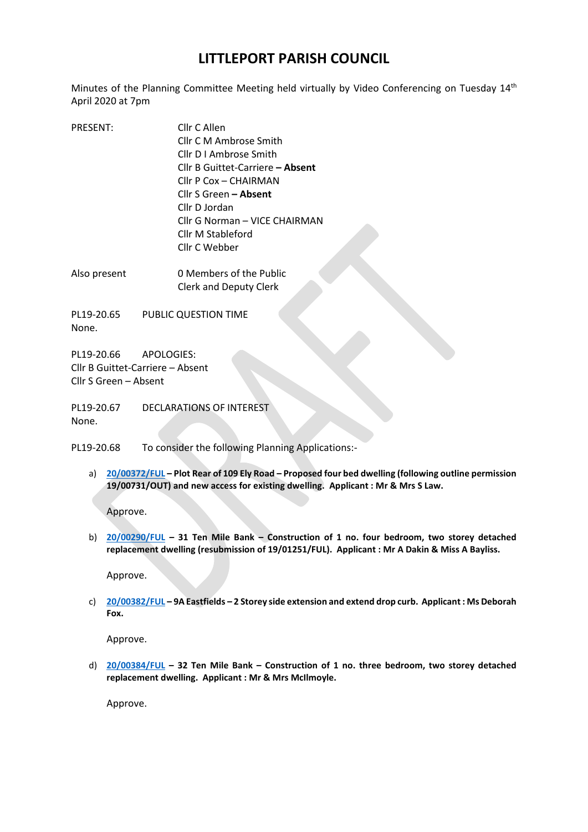## **LITTLEPORT PARISH COUNCIL**

Minutes of the Planning Committee Meeting held virtually by Video Conferencing on Tuesday 14<sup>th</sup> April 2020 at 7pm

- PRESENT: Cllr C Allen Cllr C M Ambrose Smith Cllr D I Ambrose Smith Cllr B Guittet-Carriere **– Absent**  Cllr P Cox – CHAIRMAN Cllr S Green **– Absent**  Cllr D Jordan Cllr G Norman – VICE CHAIRMAN Cllr M Stableford Cllr C Webber
- Also present 0 Members of the Public Clerk and Deputy Clerk

PL19-20.65 PUBLIC QUESTION TIME None.

PL19-20.66 APOLOGIES: Cllr B Guittet-Carriere – Absent Cllr S Green – Absent

PL19-20.67 DECLARATIONS OF INTEREST None.

PL19-20.68 To consider the following Planning Applications:-

a) **[20/00372/FUL](https://pa.eastcambs.gov.uk/online-applications/registered/savedSearch.do?action=display) – Plot Rear of 109 Ely Road – Proposed four bed dwelling (following outline permission 19/00731/OUT) and new access for existing dwelling. Applicant : Mr & Mrs S Law.**

Approve.

b) **[20/00290/FUL](https://pa.eastcambs.gov.uk/online-applications/registered/savedSearch.do?action=display) – 31 Ten Mile Bank – Construction of 1 no. four bedroom, two storey detached replacement dwelling (resubmission of 19/01251/FUL). Applicant : Mr A Dakin & Miss A Bayliss.**

Approve.

c) **[20/00382/FUL](https://pa.eastcambs.gov.uk/online-applications/registered/savedSearch.do?action=display) – 9A Eastfields – 2 Storey side extension and extend drop curb. Applicant : Ms Deborah Fox.**

Approve.

d) **[20/00384/FUL](https://pa.eastcambs.gov.uk/online-applications/registered/savedSearch.do?action=display) – 32 Ten Mile Bank – Construction of 1 no. three bedroom, two storey detached replacement dwelling. Applicant : Mr & Mrs McIlmoyle.**

Approve.